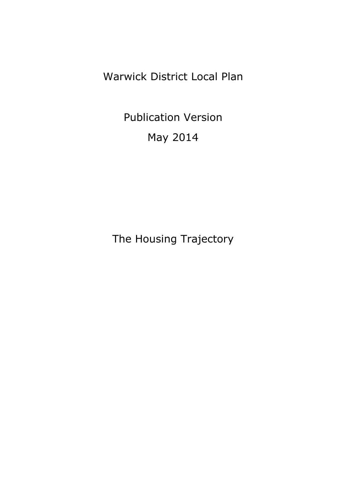Warwick District Local Plan

Publication Version May 2014

The Housing Trajectory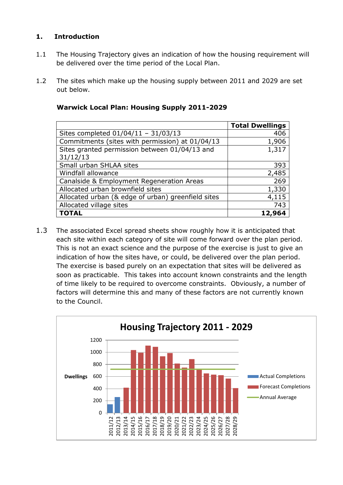## **1. Introduction**

- 1.1 The Housing Trajectory gives an indication of how the housing requirement will be delivered over the time period of the Local Plan.
- 1.2 The sites which make up the housing supply between 2011 and 2029 are set out below.

|                                                    | <b>Total Dwellings</b> |
|----------------------------------------------------|------------------------|
| Sites completed $01/04/11 - 31/03/13$              | 406                    |
| Commitments (sites with permission) at 01/04/13    | 1,906                  |
| Sites granted permission between 01/04/13 and      | 1,317                  |
| 31/12/13                                           |                        |
| Small urban SHLAA sites                            | 393                    |
| Windfall allowance                                 | 2,485                  |
| Canalside & Employment Regeneration Areas          | 269                    |
| Allocated urban brownfield sites                   | 1,330                  |
| Allocated urban (& edge of urban) greenfield sites | 4,115                  |
| Allocated village sites                            | 743                    |
| <b>TOTAL</b>                                       | 12,964                 |

## **Warwick Local Plan: Housing Supply 2011-2029**

1.3 The associated Excel spread sheets show roughly how it is anticipated that each site within each category of site will come forward over the plan period. This is not an exact science and the purpose of the exercise is just to give an indication of how the sites have, or could, be delivered over the plan period. The exercise is based purely on an expectation that sites will be delivered as soon as practicable. This takes into account known constraints and the length of time likely to be required to overcome constraints. Obviously, a number of factors will determine this and many of these factors are not currently known to the Council.